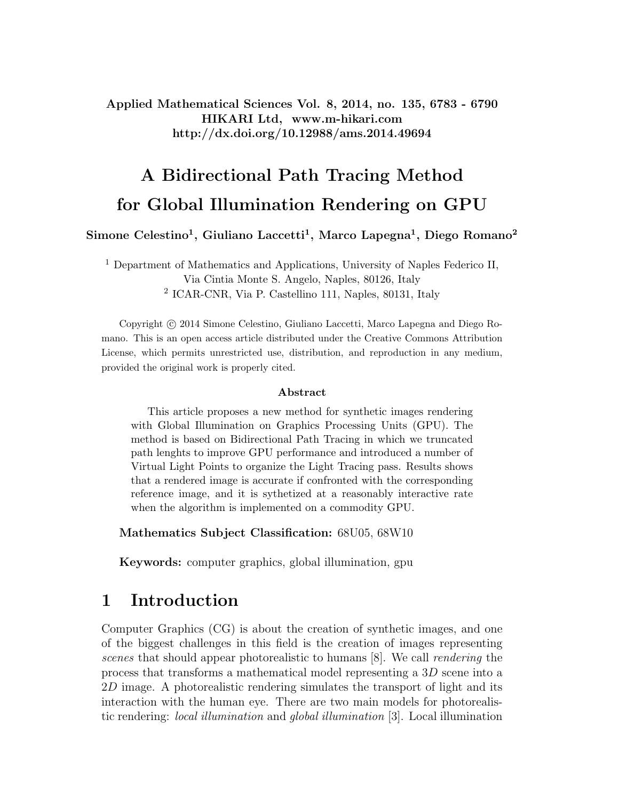Applied Mathematical Sciences Vol. 8, 2014, no. 135, 6783 - 6790 HIKARI Ltd, www.m-hikari.com http://dx.doi.org/10.12988/ams.2014.49694

# A Bidirectional Path Tracing Method for Global Illumination Rendering on GPU

Simone Celestino<sup>1</sup>, Giuliano Laccetti<sup>1</sup>, Marco Lapegna<sup>1</sup>, Diego Romano<sup>2</sup>

<sup>1</sup> Department of Mathematics and Applications, University of Naples Federico II, Via Cintia Monte S. Angelo, Naples, 80126, Italy 2 ICAR-CNR, Via P. Castellino 111, Naples, 80131, Italy

Copyright c 2014 Simone Celestino, Giuliano Laccetti, Marco Lapegna and Diego Romano. This is an open access article distributed under the Creative Commons Attribution License, which permits unrestricted use, distribution, and reproduction in any medium, provided the original work is properly cited.

#### Abstract

This article proposes a new method for synthetic images rendering with Global Illumination on Graphics Processing Units (GPU). The method is based on Bidirectional Path Tracing in which we truncated path lenghts to improve GPU performance and introduced a number of Virtual Light Points to organize the Light Tracing pass. Results shows that a rendered image is accurate if confronted with the corresponding reference image, and it is sythetized at a reasonably interactive rate when the algorithm is implemented on a commodity GPU.

Mathematics Subject Classification: 68U05, 68W10

Keywords: computer graphics, global illumination, gpu

#### 1 Introduction

Computer Graphics (CG) is about the creation of synthetic images, and one of the biggest challenges in this field is the creation of images representing scenes that should appear photorealistic to humans [8]. We call rendering the process that transforms a mathematical model representing a 3D scene into a 2D image. A photorealistic rendering simulates the transport of light and its interaction with the human eye. There are two main models for photorealistic rendering: local illumination and global illumination [3]. Local illumination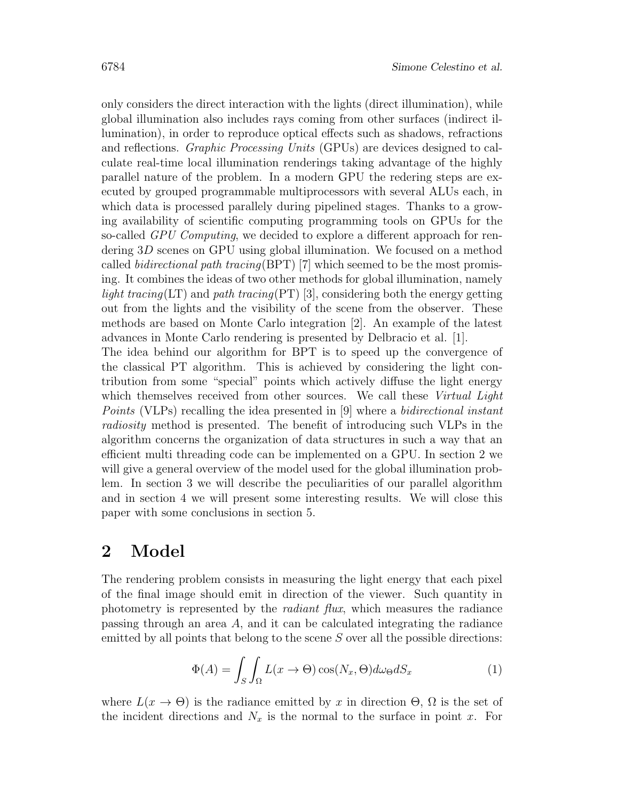only considers the direct interaction with the lights (direct illumination), while global illumination also includes rays coming from other surfaces (indirect illumination), in order to reproduce optical effects such as shadows, refractions and reflections. Graphic Processing Units (GPUs) are devices designed to calculate real-time local illumination renderings taking advantage of the highly parallel nature of the problem. In a modern GPU the redering steps are executed by grouped programmable multiprocessors with several ALUs each, in which data is processed parallely during pipelined stages. Thanks to a growing availability of scientific computing programming tools on GPUs for the so-called GPU Computing, we decided to explore a different approach for rendering 3D scenes on GPU using global illumination. We focused on a method called *bidirectional path tracing*(BPT) [7] which seemed to be the most promising. It combines the ideas of two other methods for global illumination, namely light tracing(LT) and path tracing(PT) [3], considering both the energy getting out from the lights and the visibility of the scene from the observer. These methods are based on Monte Carlo integration [2]. An example of the latest advances in Monte Carlo rendering is presented by Delbracio et al. [1]. The idea behind our algorithm for BPT is to speed up the convergence of the classical PT algorithm. This is achieved by considering the light contribution from some "special" points which actively diffuse the light energy which themselves received from other sources. We call these Virtual Light Points (VLPs) recalling the idea presented in [9] where a bidirectional instant

radiosity method is presented. The benefit of introducing such VLPs in the algorithm concerns the organization of data structures in such a way that an efficient multi threading code can be implemented on a GPU. In section 2 we will give a general overview of the model used for the global illumination problem. In section 3 we will describe the peculiarities of our parallel algorithm and in section 4 we will present some interesting results. We will close this paper with some conclusions in section 5.

## 2 Model

The rendering problem consists in measuring the light energy that each pixel of the final image should emit in direction of the viewer. Such quantity in photometry is represented by the radiant flux, which measures the radiance passing through an area A, and it can be calculated integrating the radiance emitted by all points that belong to the scene S over all the possible directions:

$$
\Phi(A) = \int_{S} \int_{\Omega} L(x \to \Theta) \cos(N_x, \Theta) d\omega_{\Theta} dS_x \tag{1}
$$

where  $L(x \to \Theta)$  is the radiance emitted by x in direction  $\Theta$ ,  $\Omega$  is the set of the incident directions and  $N_x$  is the normal to the surface in point x. For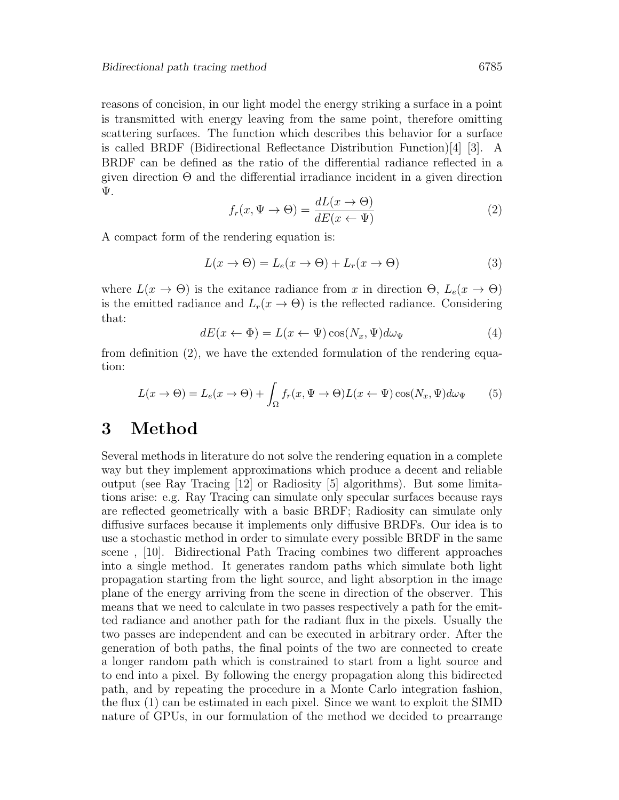reasons of concision, in our light model the energy striking a surface in a point is transmitted with energy leaving from the same point, therefore omitting scattering surfaces. The function which describes this behavior for a surface is called BRDF (Bidirectional Reflectance Distribution Function)[4] [3]. A BRDF can be defined as the ratio of the differential radiance reflected in a given direction  $\Theta$  and the differential irradiance incident in a given direction Ψ.

$$
f_r(x, \Psi \to \Theta) = \frac{dL(x \to \Theta)}{dE(x \leftarrow \Psi)}\tag{2}
$$

A compact form of the rendering equation is:

$$
L(x \to \Theta) = L_e(x \to \Theta) + L_r(x \to \Theta)
$$
\n(3)

where  $L(x \to \Theta)$  is the exitance radiance from x in direction  $\Theta$ ,  $L_e(x \to \Theta)$ is the emitted radiance and  $L_r(x \to \Theta)$  is the reflected radiance. Considering that:

$$
dE(x \leftarrow \Phi) = L(x \leftarrow \Psi) \cos(N_x, \Psi) d\omega_{\Psi}
$$
\n<sup>(4)</sup>

from definition (2), we have the extended formulation of the rendering equation:

$$
L(x \to \Theta) = L_e(x \to \Theta) + \int_{\Omega} f_r(x, \Psi \to \Theta) L(x \leftarrow \Psi) \cos(N_x, \Psi) d\omega_{\Psi}
$$
 (5)

# 3 Method

Several methods in literature do not solve the rendering equation in a complete way but they implement approximations which produce a decent and reliable output (see Ray Tracing [12] or Radiosity [5] algorithms). But some limitations arise: e.g. Ray Tracing can simulate only specular surfaces because rays are reflected geometrically with a basic BRDF; Radiosity can simulate only diffusive surfaces because it implements only diffusive BRDFs. Our idea is to use a stochastic method in order to simulate every possible BRDF in the same scene , [10]. Bidirectional Path Tracing combines two different approaches into a single method. It generates random paths which simulate both light propagation starting from the light source, and light absorption in the image plane of the energy arriving from the scene in direction of the observer. This means that we need to calculate in two passes respectively a path for the emitted radiance and another path for the radiant flux in the pixels. Usually the two passes are independent and can be executed in arbitrary order. After the generation of both paths, the final points of the two are connected to create a longer random path which is constrained to start from a light source and to end into a pixel. By following the energy propagation along this bidirected path, and by repeating the procedure in a Monte Carlo integration fashion, the flux (1) can be estimated in each pixel. Since we want to exploit the SIMD nature of GPUs, in our formulation of the method we decided to prearrange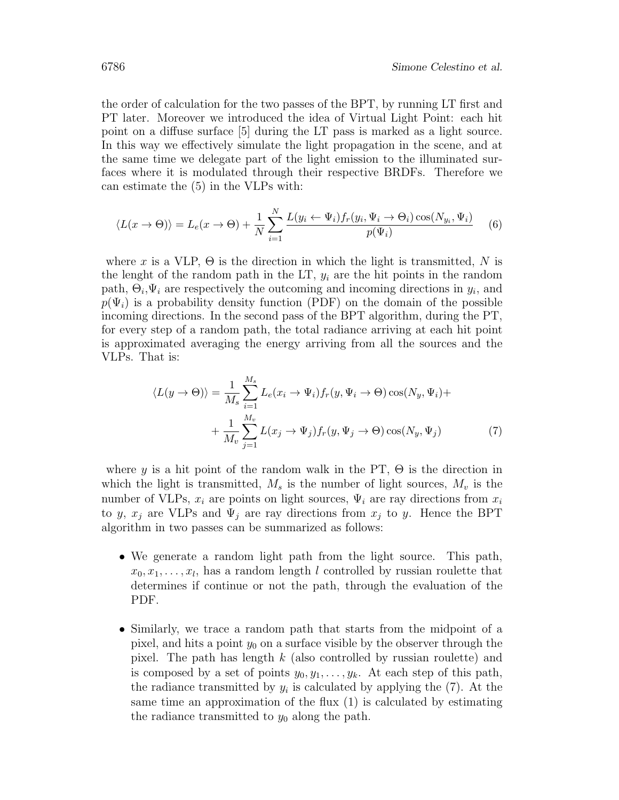the order of calculation for the two passes of the BPT, by running LT first and PT later. Moreover we introduced the idea of Virtual Light Point: each hit point on a diffuse surface [5] during the LT pass is marked as a light source. In this way we effectively simulate the light propagation in the scene, and at the same time we delegate part of the light emission to the illuminated surfaces where it is modulated through their respective BRDFs. Therefore we can estimate the (5) in the VLPs with:

$$
\langle L(x \to \Theta) \rangle = L_e(x \to \Theta) + \frac{1}{N} \sum_{i=1}^{N} \frac{L(y_i \leftarrow \Psi_i) f_r(y_i, \Psi_i \to \Theta_i) \cos(N_{y_i}, \Psi_i)}{p(\Psi_i)} \tag{6}
$$

where x is a VLP,  $\Theta$  is the direction in which the light is transmitted, N is the lenght of the random path in the LT,  $y_i$  are the hit points in the random path,  $\Theta_i, \Psi_i$  are respectively the outcoming and incoming directions in  $y_i$ , and  $p(\Psi_i)$  is a probability density function (PDF) on the domain of the possible incoming directions. In the second pass of the BPT algorithm, during the PT, for every step of a random path, the total radiance arriving at each hit point is approximated averaging the energy arriving from all the sources and the VLPs. That is:

$$
\langle L(y \to \Theta) \rangle = \frac{1}{M_s} \sum_{i=1}^{M_s} L_e(x_i \to \Psi_i) f_r(y, \Psi_i \to \Theta) \cos(N_y, \Psi_i) +
$$

$$
+ \frac{1}{M_v} \sum_{j=1}^{M_v} L(x_j \to \Psi_j) f_r(y, \Psi_j \to \Theta) \cos(N_y, \Psi_j)
$$
(7)

where y is a hit point of the random walk in the PT,  $\Theta$  is the direction in which the light is transmitted,  $M_s$  is the number of light sources,  $M_v$  is the number of VLPs,  $x_i$  are points on light sources,  $\Psi_i$  are ray directions from  $x_i$ to y,  $x_j$  are VLPs and  $\Psi_j$  are ray directions from  $x_j$  to y. Hence the BPT algorithm in two passes can be summarized as follows:

- We generate a random light path from the light source. This path,  $x_0, x_1, \ldots, x_l$ , has a random length l controlled by russian roulette that determines if continue or not the path, through the evaluation of the PDF.
- Similarly, we trace a random path that starts from the midpoint of a pixel, and hits a point  $y_0$  on a surface visible by the observer through the pixel. The path has length  $k$  (also controlled by russian roulette) and is composed by a set of points  $y_0, y_1, \ldots, y_k$ . At each step of this path, the radiance transmitted by  $y_i$  is calculated by applying the  $(7)$ . At the same time an approximation of the flux (1) is calculated by estimating the radiance transmitted to  $y_0$  along the path.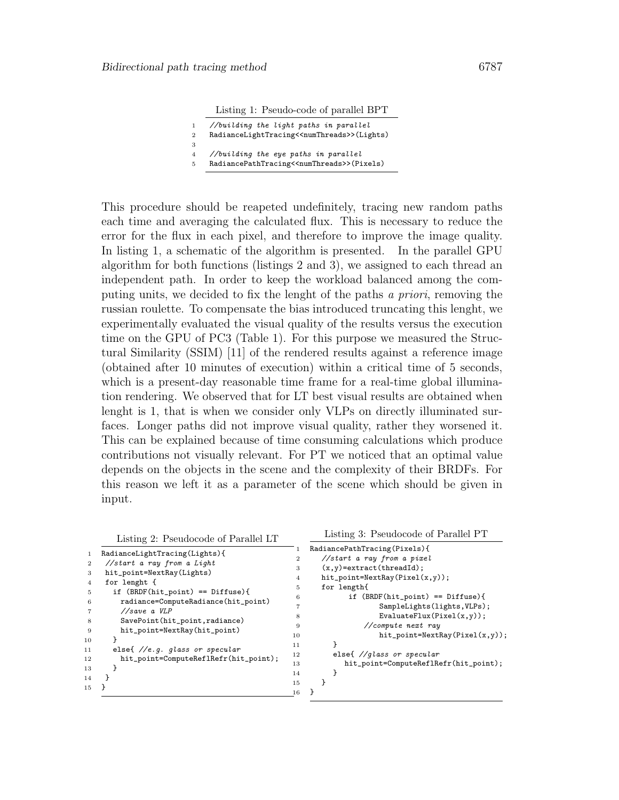Listing 1: Pseudo-code of parallel BPT

|                | //building the light paths in parallel                      |
|----------------|-------------------------------------------------------------|
| $\mathbf{2}$   | RadianceLightTracing< <numthreads>&gt;(Lights)</numthreads> |
| 3              |                                                             |
| $\overline{4}$ | //building the eye paths in parallel                        |
| 5              | RadiancePathTracing< <numthreads>&gt;(Pixels)</numthreads>  |

This procedure should be reapeted undefinitely, tracing new random paths each time and averaging the calculated flux. This is necessary to reduce the error for the flux in each pixel, and therefore to improve the image quality. In listing 1, a schematic of the algorithm is presented. In the parallel GPU algorithm for both functions (listings 2 and 3), we assigned to each thread an independent path. In order to keep the workload balanced among the computing units, we decided to fix the lenght of the paths a priori, removing the russian roulette. To compensate the bias introduced truncating this lenght, we experimentally evaluated the visual quality of the results versus the execution time on the GPU of PC3 (Table 1). For this purpose we measured the Structural Similarity (SSIM) [11] of the rendered results against a reference image (obtained after 10 minutes of execution) within a critical time of 5 seconds, which is a present-day reasonable time frame for a real-time global illumination rendering. We observed that for LT best visual results are obtained when lenght is 1, that is when we consider only VLPs on directly illuminated surfaces. Longer paths did not improve visual quality, rather they worsened it. This can be explained because of time consuming calculations which produce contributions not visually relevant. For PT we noticed that an optimal value depends on the objects in the scene and the complexity of their BRDFs. For this reason we left it as a parameter of the scene which should be given in input.

Listing 2: Pseudocode of Parallel LT

| $\mathbf{1}$<br>$\overline{2}$<br>3<br>$\overline{4}$<br>5<br>6 | RadianceLightTracing(Lights){<br>//start a ray from a Light<br>hit_point=NextRay(Lights)<br>for lenght {<br>if $(BRDF(hit\_point) == Diffuse)$ {<br>radiance=ComputeRadiance(hit_point) | 3<br>4<br>5<br>6                           | RadiancePathTracing(Pixels){<br>//start a ray from a pixel<br>$(x, y)$ =extract(threadId);<br>$hit\_point=NextRay(Pixel(x,y));$<br>for length{<br>if $(BRDF(hit\_point) == Diffuse)$ {<br>SampleLights(lights, VLPs); |  |  |
|-----------------------------------------------------------------|-----------------------------------------------------------------------------------------------------------------------------------------------------------------------------------------|--------------------------------------------|-----------------------------------------------------------------------------------------------------------------------------------------------------------------------------------------------------------------------|--|--|
| 8<br>-9<br>10<br>11<br>12<br>13<br>14                           | //save a VLP<br>SavePoint(hit_point,radiance)<br>hit_point=NextRay(hit_point)<br>else $\frac{1}{e}$ . q. qlass or specular<br>hit_point=ComputeReflRefr(hit_point);                     | 8<br>9<br>10<br>11<br>12<br>13<br>14<br>15 | EvaluateFlux(Pixel $(x,y)$ );<br>$//compute$ next ray<br>$hit\_point = NextRay(Pixel(x, y));$<br>else{ $// glass or spectrum$<br>hit_point=ComputeReflRefr(hit_point);                                                |  |  |
| 15                                                              |                                                                                                                                                                                         | 16                                         |                                                                                                                                                                                                                       |  |  |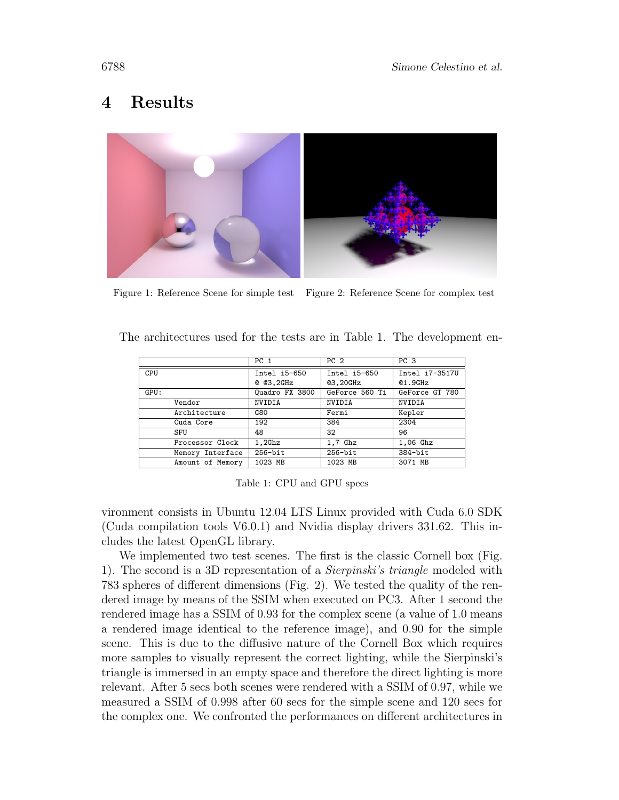# 4 Results



Figure 1: Reference Scene for simple test Figure 2: Reference Scene for complex test

|                  | PC 1           | PC <sub>2</sub> | PC 3           |
|------------------|----------------|-----------------|----------------|
| CPU              | $Intel 15-650$ | Intel i5-650    | Intel i7-3517U |
|                  | @Q3,2GHz       | <b>03,20GHz</b> | Q1.9GHz        |
| GPU:             | Quadro FX 3800 | GeForce 560 Ti  | GeForce GT 780 |
| Vendor           | NVIDIA         | NVIDIA          | <b>NVIDIA</b>  |
| Architecture     | G80            | Fermi           | Kepler         |
| Cuda Core        | 192            | 384             | 2304           |
| SFU              | 48             | 32              | 96             |
| Processor Clock  | $1,2$ Ghz      | $1,7$ Ghz       | $1,06$ Ghz     |
| Memory Interface | $256 - bit$    | $256 - bit$     | $384$ -bit     |
| Amount of Memory | 1023 MB        | 1023 MB         | 3071 MB        |

The architectures used for the tests are in Table 1. The development en-

Table 1: CPU and GPU specs

vironment consists in Ubuntu 12.04 LTS Linux provided with Cuda 6.0 SDK (Cuda compilation tools V6.0.1) and Nvidia display drivers 331.62. This includes the latest OpenGL library.

We implemented two test scenes. The first is the classic Cornell box (Fig. 1). The second is a 3D representation of a Sierpinski's triangle modeled with 783 spheres of different dimensions (Fig. 2). We tested the quality of the rendered image by means of the SSIM when executed on PC3. After 1 second the rendered image has a SSIM of 0.93 for the complex scene (a value of 1.0 means a rendered image identical to the reference image), and 0.90 for the simple scene. This is due to the diffusive nature of the Cornell Box which requires more samples to visually represent the correct lighting, while the Sierpinski's triangle is immersed in an empty space and therefore the direct lighting is more relevant. After 5 secs both scenes were rendered with a SSIM of 0.97, while we measured a SSIM of 0.998 after 60 secs for the simple scene and 120 secs for the complex one. We confronted the performances on different architectures in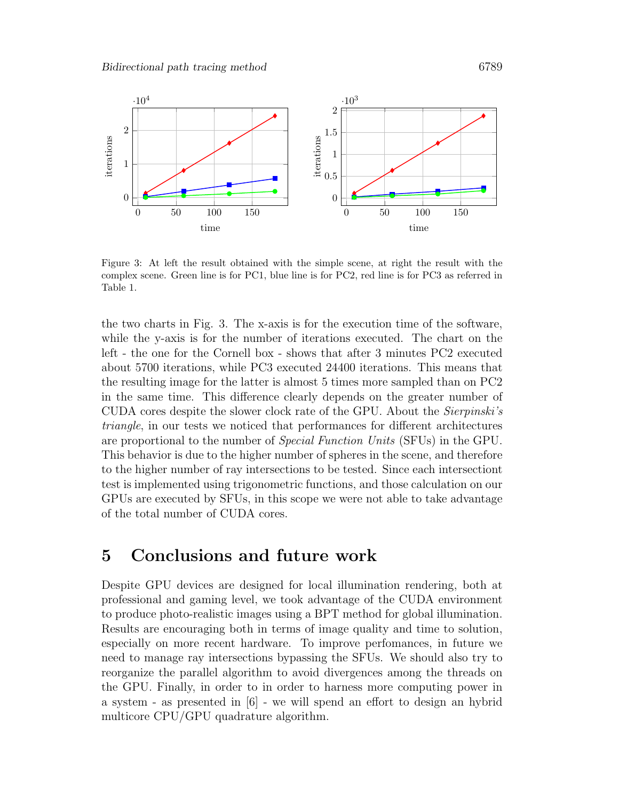

Figure 3: At left the result obtained with the simple scene, at right the result with the complex scene. Green line is for PC1, blue line is for PC2, red line is for PC3 as referred in Table 1.

the two charts in Fig. 3. The x-axis is for the execution time of the software, while the y-axis is for the number of iterations executed. The chart on the left - the one for the Cornell box - shows that after 3 minutes PC2 executed about 5700 iterations, while PC3 executed 24400 iterations. This means that the resulting image for the latter is almost 5 times more sampled than on PC2 in the same time. This difference clearly depends on the greater number of CUDA cores despite the slower clock rate of the GPU. About the Sierpinski's triangle, in our tests we noticed that performances for different architectures are proportional to the number of Special Function Units (SFUs) in the GPU. This behavior is due to the higher number of spheres in the scene, and therefore to the higher number of ray intersections to be tested. Since each intersectiont test is implemented using trigonometric functions, and those calculation on our GPUs are executed by SFUs, in this scope we were not able to take advantage of the total number of CUDA cores.

#### 5 Conclusions and future work

Despite GPU devices are designed for local illumination rendering, both at professional and gaming level, we took advantage of the CUDA environment to produce photo-realistic images using a BPT method for global illumination. Results are encouraging both in terms of image quality and time to solution, especially on more recent hardware. To improve perfomances, in future we need to manage ray intersections bypassing the SFUs. We should also try to reorganize the parallel algorithm to avoid divergences among the threads on the GPU. Finally, in order to in order to harness more computing power in a system - as presented in [6] - we will spend an effort to design an hybrid multicore CPU/GPU quadrature algorithm.